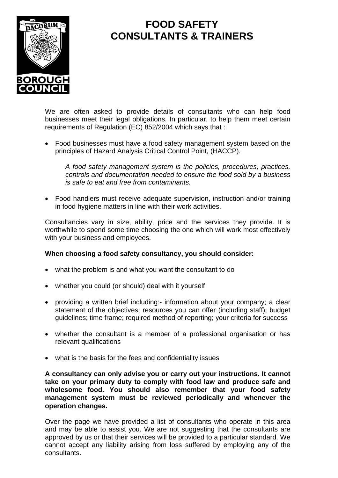

## **FOOD SAFETY CONSULTANTS & TRAINERS**

We are often asked to provide details of consultants who can help food businesses meet their legal obligations. In particular, to help them meet certain requirements of Regulation (EC) 852/2004 which says that :

• Food businesses must have a food safety management system based on the principles of Hazard Analysis Critical Control Point, (HACCP).

*A food safety management system is the policies, procedures, practices, controls and documentation needed to ensure the food sold by a business is safe to eat and free from contaminants.*

• Food handlers must receive adequate supervision, instruction and/or training in food hygiene matters in line with their work activities.

Consultancies vary in size, ability, price and the services they provide. It is worthwhile to spend some time choosing the one which will work most effectively with your business and employees.

## **When choosing a food safety consultancy, you should consider:**

- what the problem is and what you want the consultant to do
- whether you could (or should) deal with it yourself
- providing a written brief including:- information about your company; a clear statement of the objectives; resources you can offer (including staff); budget guidelines; time frame; required method of reporting; your criteria for success
- whether the consultant is a member of a professional organisation or has relevant qualifications
- what is the basis for the fees and confidentiality issues

**A consultancy can only advise you or carry out your instructions. It cannot take on your primary duty to comply with food law and produce safe and wholesome food. You should also remember that your food safety management system must be reviewed periodically and whenever the operation changes.**

Over the page we have provided a list of consultants who operate in this area and may be able to assist you. We are not suggesting that the consultants are approved by us or that their services will be provided to a particular standard. We cannot accept any liability arising from loss suffered by employing any of the consultants.